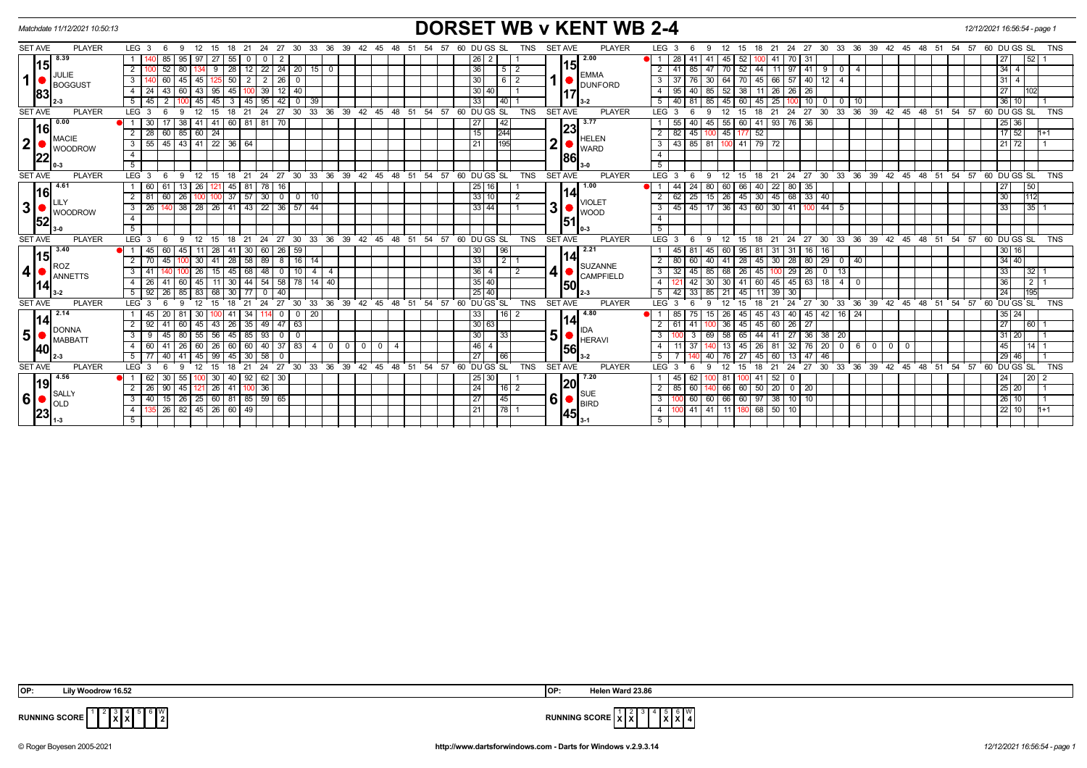| Matchdate 11/12/2021 10:50:13                                                 |                                                                                                               | <b>DORSET WB v KENT WB 2-4</b>                                                                          | 12/12/2021 16:56:54 - page 1                                                                                                                                                        |
|-------------------------------------------------------------------------------|---------------------------------------------------------------------------------------------------------------|---------------------------------------------------------------------------------------------------------|-------------------------------------------------------------------------------------------------------------------------------------------------------------------------------------|
| <b>SET AVE</b><br><b>PLAYER</b>                                               | LEG <sub>3</sub><br>24 27 30 33 36 39 42<br>12<br>15<br>21<br>- 6<br>-9<br>18                                 | <b>PLAYER</b><br><b>TNS</b><br><b>SET AVE</b><br>60 DU GS SL<br>45<br>-48<br>54<br>57                   | LEG <sub>3</sub><br>21 24 27 30 33 36 39 42 45 48 51 54 57 60 DUGS SL<br><b>TNS</b><br>12 15<br>18<br>-6<br>9                                                                       |
| 8.39<br>l15I<br>JULIE<br>$\mathbf{1}$<br><b>BOGGUST</b><br>83                 | 85<br>-27<br>55<br>95<br>0                                                                                    | 2.00<br>26<br>2.                                                                                        | 28<br>27<br>45<br>521<br>52<br>-41<br>-41<br>70   31                                                                                                                                |
|                                                                               | 52<br>28   12   22   24   20   15   0<br>2 <sup>1</sup><br>80 <sup>1</sup><br>9 I                             | 15<br>36<br>5   2<br><b>EMMA</b>                                                                        | $34$ 4<br>41<br>85 47 70 52 44 11<br>$97$ 41 9<br>2<br>$\mathbf{0}$<br>$\overline{4}$                                                                                               |
|                                                                               | 3 I<br>60 <sub>1</sub><br>$50 \mid 2 \mid$<br>$\sqrt{2}$<br>45<br>  45                                        | 30 <br>$612$<br><b>DUNFORD</b>                                                                          | 64 70 45 66 57 40 12 4<br>$31 \mid 4$<br>37<br>76 30                                                                                                                                |
|                                                                               | 45   100   39<br>43 <sup>1</sup><br>95<br>$12$ 40<br>4   24<br>60   43                                        | 30 40 <br><u> 17</u>                                                                                    | $52 \mid 38 \mid 11 \mid 26 \mid$<br>27<br>95<br>26 26<br>40 85<br>102                                                                                                              |
|                                                                               | 95<br>42<br>5   45<br>45<br>39<br>45<br>3<br>45 I<br>$\Omega$                                                 | 33<br>40 I                                                                                              | 40<br>45<br>25<br>10 <sup>1</sup><br>$\overline{0}$<br>36 10<br>81<br>$^{\circ}$<br>85<br>60<br>45 I<br>-10                                                                         |
| <b>SET AVE</b><br><b>PLAYER</b>                                               | LEG <sup>3</sup><br>27<br>$33 \quad 36$<br>39<br>24<br>30                                                     | $60$ DU GS SL<br>TNS<br>SET AVE<br>$^{\circ}$ 42<br>48<br>່ 51<br>54<br>57<br><b>PLAYER</b><br>45       | LEG <sub>3</sub><br>24<br>$\cdot$ 30<br>33<br>36<br>39<br>ີ 42<br>45 48<br>51<br>54 57<br>60 DUGS SL<br><b>TNS</b><br>21<br>27                                                      |
| 0.00<br>l16l<br><b>MACIE</b><br>$\mathbf 2$<br><b>WOODROW</b>                 | $60$ 81 81<br>38<br>41<br>70                                                                                  | 3.77<br>27<br>42<br>23                                                                                  | 55<br>55<br>41 93<br>76 36<br>$25 \mid 36$<br>60                                                                                                                                    |
|                                                                               | 60 85 60 24<br>$2 \mid 28 \mid$                                                                               | 15<br>244<br>HELEN                                                                                      | $\frac{1}{17}$ 52<br>82<br>45 177 52<br>$\overline{2}$<br>45 <sup>1</sup><br>$1+1$                                                                                                  |
|                                                                               | 45 43 41 22 36 64<br>$3 \mid 55$                                                                              | n<br>195<br>$\overline{21}$<br><b>WARD</b>                                                              | $\overline{43}$<br>100 41 79 72<br>85 81<br>$21$ 72<br>$\overline{\mathbf{3}}$                                                                                                      |
|                                                                               | $\overline{4}$                                                                                                | 86                                                                                                      | $\overline{4}$                                                                                                                                                                      |
|                                                                               | 5 <sup>5</sup>                                                                                                |                                                                                                         | 5                                                                                                                                                                                   |
| <b>PLAYER</b><br><b>SET AVE</b>                                               | $24$ 27 30 33 36 39 42 45 48 51<br>LEG <sup>3</sup><br>ີ 12<br>21<br>- 6<br>-9<br>15<br>18                    | $54$ $57$ $60$ $DU$ $GS$ $SL$<br><b>SET AVE</b><br><b>PLAYER</b><br><b>TNS</b>                          | 18 21 24 27 30 33 36 39 42 45 48 51 54 57 60 DUGS SL<br>LEG <sub>3</sub><br>6<br>12<br><b>TNS</b><br>- 9<br>15                                                                      |
| $-4.61$<br>l16l                                                               | 61<br>$13 \mid 26 \mid$<br>45 81 78 16<br>1 60<br>121 I                                                       | 1.00<br>25 16                                                                                           | $24$ 80<br>60<br>44<br>66 40 22<br>80 35<br>27<br>50                                                                                                                                |
|                                                                               | 60<br>26<br>$37$ 57 $30$<br>$\overline{0}$<br>$2 \mid 81$<br>10<br>$\overline{0}$<br>100                      | 14<br>33 10 <br>2<br><b>VIOLET</b>                                                                      | 62<br>$\overline{26}$<br>$45 \ 30 \ 45$<br>68 33 40<br>25<br>30<br>112<br> 15                                                                                                       |
| $\mathbf 3$<br><b>WOODROW</b><br>52                                           | 38   28   26   41   43   22   36   57   44<br>$3 \mid 26$                                                     | 31<br>$33   44$<br>$\blacksquare$ WOOD                                                                  | $45$ 17 36 43 60 30 41 100 44 5<br>$\frac{1}{35}$ 1<br>45<br>33<br>3                                                                                                                |
|                                                                               | $\overline{4}$                                                                                                | 51                                                                                                      | $\overline{4}$                                                                                                                                                                      |
|                                                                               | 5 <sup>7</sup>                                                                                                | 0-3                                                                                                     | 5                                                                                                                                                                                   |
| <b>SET AVE</b><br><b>PLAYER</b>                                               | LEG <sub>3</sub><br>27<br>30 33 36 39 42 45 48 51<br>12<br>21<br>24<br>- 6<br>$\mathbf{q}$<br>15<br>18        | 54 57<br>60 DU GS SL<br><b>TNS</b><br><b>SET AVE</b><br><b>PLAYER</b>                                   | LEG <sub>3</sub><br>27 30 33 36 39 42 45 48 51 54 57 60 DUGS SL<br>12<br>18<br>21<br>24<br><b>TNS</b><br>- 6<br>9<br>15                                                             |
| 3.40<br>l15I                                                                  | $26 \mid 59$<br>1   45<br>60<br>45<br>28<br>-30 I<br>60<br>11<br>-41                                          | 30<br>96<br>2.21<br>14                                                                                  | 30 16<br>45<br>81<br>60<br>95 81 31<br>$31 \mid 16$<br>16<br>-45                                                                                                                    |
| २OZ                                                                           | $2 \mid 70$<br>45<br>28 58 89<br>$8$   16   14<br>41<br>30 I                                                  | 33<br>211<br><b>SUZANNE</b>                                                                             | $\boxed{29}$ 0<br>34 40<br>80<br>28 80<br>60<br>41<br>28 45 30<br>l 40 I<br>40                                                                                                      |
| $\boldsymbol{4}$<br>ANNETTS                                                   | 48<br>3   41<br>15<br>45<br>$\sqrt{68}$<br>$\overline{0}$<br>l 10 I<br>4<br>26<br>-4                          | 4<br>36<br>2<br>CAMPFIELD                                                                               | 32<br>$29 \mid 26 \mid$<br>33<br>26 45<br>32 1<br>45<br>85<br>68<br>$\overline{0}$<br>13<br>100                                                                                     |
|                                                                               | 54<br>58 78 14 40<br>$30 \mid 44 \mid$<br>4   26<br>41<br>60<br>45<br>11                                      | 35 40<br>150                                                                                            | $45 \mid 63 \mid$<br>36<br>2<br>30<br>45<br>18<br>$\overline{4}$<br>12.<br>42<br>30<br>60<br>$\overline{4}$<br>$\mathbf{0}$                                                         |
|                                                                               | 5   92<br>26<br>68<br>40<br>85<br>83<br>30 <sup>1</sup><br>$\Omega$                                           | $25 \mid 40$<br>2-3                                                                                     | 195<br>42<br>24<br>33<br>21<br>39<br>30<br>-5<br>45<br>85                                                                                                                           |
| <b>SET AVE</b><br><b>PLAYER</b>                                               | 33<br>36<br>39<br>LEG 3<br>27<br>30                                                                           | 48 51<br>54<br>57<br>60 DU GS SL<br>$42^{\circ}$<br>45<br><b>TNS</b><br><b>SET AVE</b><br><b>PLAYER</b> | 30<br>33<br>36 39<br>42 45 48 51<br>54.57<br>$60$ DU GS SL<br><b>LEG</b><br>24<br>27<br>21<br>TNS                                                                                   |
| 2.14                                                                          | l 45<br>20<br>$0 \mid 20$<br>30<br>$\mathbf 0$<br>34                                                          | 33<br>16 2<br>4.80<br>14                                                                                | $42$ 16 24<br>85<br>43<br>40 45<br>$35 \mid 24$<br>26<br>15<br>45                                                                                                                   |
| <b>DONNA</b>                                                                  | 49<br>$47$ 63<br>2 92<br>43<br>26 35<br>41<br>45<br>-60                                                       | 30 63<br><b>IIDA</b>                                                                                    | $\overline{27}$<br>36<br>$26 \mid 27$<br> 60 <br>61<br>45 60<br>45                                                                                                                  |
| 5 <sup>1</sup><br>/ MABBATT                                                   | $3 \mid 9$<br>45<br>56<br>45 I<br>93<br>$\overline{0}$<br>55<br>-85 I<br>$^{\circ}$                           | 5 <sup>1</sup><br>30<br>33<br>$\bullet$ HERAVI                                                          | 58<br>$\overline{36}$<br>$38 \mid 20$<br>31 20<br>44<br>-41<br>27<br>65<br>-3                                                                                                       |
| 40                                                                            | 4 60<br>26<br>40<br>37<br>  83  <br>$\frac{1}{4}$<br>$0$   $0$<br>41<br>26<br>60   60  <br>$\mathbf{0}$<br>60 | 46 <br>$^{\circ}$<br>4<br>56                                                                            | 20 <sup>1</sup><br>45<br>$14$   1<br>13<br>32   76  <br>$\overline{0}$<br>6 I 0<br>-37<br>26 81<br>$\mathbf 0$<br>$\mathbf 0$<br>45                                                 |
|                                                                               | 40<br>99<br>58<br>5   77<br>30                                                                                | 27<br>66                                                                                                | 46<br>60<br>29 46<br>76<br>13<br>l 47                                                                                                                                               |
| <b>SET AVE</b><br><b>PLAYER</b>                                               | LEG <sub>3</sub><br>27<br>30<br>33<br>$\cdot$ 36<br>39<br>24<br>12<br>21<br>۰Q                                | <b>SET AVE</b><br><b>PLAYER</b><br>42<br>54<br>57<br>60 DUGS SL<br><b>TNS</b><br>45<br>48<br>51         | LEG <sub>3</sub><br>30<br>33<br>36<br>39<br>42<br>$^{\degree}$ 48<br>51<br>54 57<br>DU GS SL<br><b>TNS</b><br>24<br>27<br>45<br>60<br>-6<br>12 <sup>2</sup><br>21<br>-9<br>15<br>18 |
| 4.56<br>l19<br><b>SALLY</b><br>$6\overline{6}$<br><b>OLD</b><br> 23 <br>$1-3$ | 40 92 62 30<br>30<br>l 62<br>30<br>55                                                                         | 7.20<br>25 30<br>20                                                                                     | 20 2<br>$41 \overline{52}$<br>24<br>45<br>62<br>81<br>$\mathbf 0$                                                                                                                   |
|                                                                               | $2 \mid 26 \mid$<br>90<br>45 121 26<br>41   100   36                                                          | $\sqrt{24}$<br>16 2<br><b>SUE</b>                                                                       | 25 20<br>$\overline{2}$<br>85<br>66<br>60 50 20<br>60<br>$0 \mid 20$                                                                                                                |
|                                                                               | 15   26   25   60   81   85   59   65<br>3   40                                                               | 6I<br> 27 <br>45<br>BIRD                                                                                | 60 60 66 60 97 38 10 10<br>26 10 <br>3 <sup>1</sup><br>l 1                                                                                                                          |
|                                                                               | 26   82   45   26   60   49  <br>4 I                                                                          | $\overline{21}$<br> 78 1<br> 45                                                                         | 41 41 11 180 68 50 10<br>$22$   10  <br>$11+1$<br>4 <sup>1</sup><br>100 I                                                                                                           |
|                                                                               | 5                                                                                                             | l 3-1                                                                                                   | 5                                                                                                                                                                                   |

**X X** 6 W



**RUNNING SCORE**